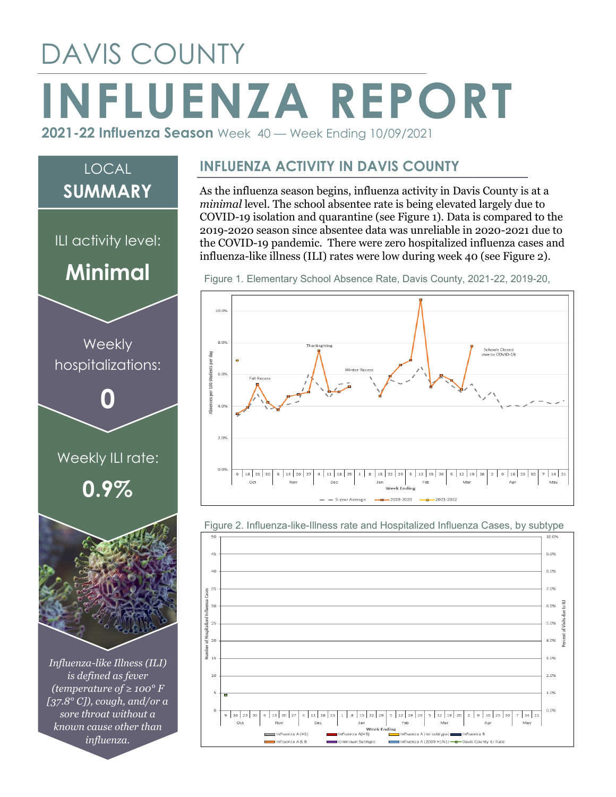## DAVIS COUNTY **INFLUENZA REPORT 2021-22 Influenza Season** Week 40 — Week Ending 10/09/2021



*sore throat without a known cause other than influenza.*

**INFLUENZA ACTIVITY IN DAVIS COUNTY**

As the influenza season begins, influenza activity in Davis County is at a *minimal* level. The school absentee rate is being elevated largely due to COVID-19 isolation and quarantine (see Figure 1). Data is compared to the 2019-2020 season since absentee data was unreliable in 2020-2021 due to the COVID-19 pandemic. There were zero hospitalized influenza cases and influenza-like illness (ILI) rates were low during week 40 (see Figure 2).

Figure 1. Elementary School Absence Rate, Davis County, 2021-22, 2019-20,